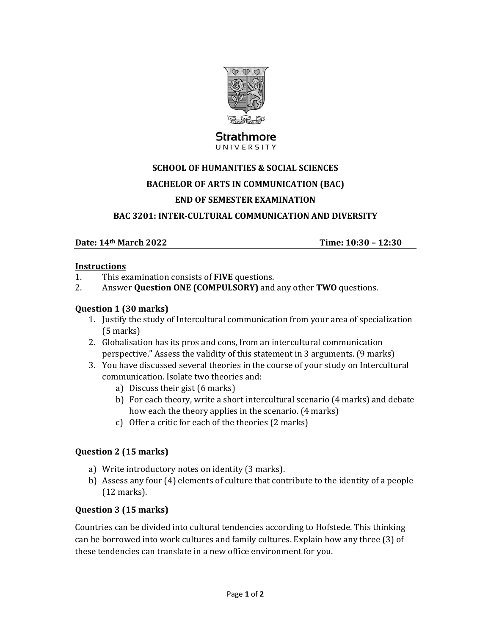

# Strathmore

UNIVERSITY

## **SCHOOL OF HUMANITIES & SOCIAL SCIENCES BACHELOR OF ARTS IN COMMUNICATION (BAC) END OF SEMESTER EXAMINATION**

#### **BAC 3201: INTER‐CULTURAL COMMUNICATION AND DIVERSITY**

#### **Date: 14th March 2022 Time: 10:30 – 12:30**

#### **Instructions**

- 1. This examination consists of **FIVE** questions.
- 2. Answer **Question ONE** (COMPULSORY) and any other **TWO** questions.

#### **Question 1 (30 marks)**

- 1. Justify the study of Intercultural communication from your area of specialization (5 marks)
- 2. Globalisation has its pros and cons, from an intercultural communication perspective." Assess the validity of this statement in 3 arguments. (9 marks)
- 3. You have discussed several theories in the course of your study on Intercultural communication. Isolate two theories and:
	- a) Discuss their gist (6 marks)
	- b) For each theory, write a short intercultural scenario (4 marks) and debate how each the theory applies in the scenario. (4 marks)
	- c) Offer a critic for each of the theories  $(2 \text{ marks})$

#### **Question 2 (15 marks)**

- a) Write introductory notes on identity (3 marks).
- b) Assess any four  $(4)$  elements of culture that contribute to the identity of a people  $(12 \text{ marks})$ .

#### **Question 3 (15 marks)**

Countries can be divided into cultural tendencies according to Hofstede. This thinking can be borrowed into work cultures and family cultures. Explain how any three (3) of these tendencies can translate in a new office environment for you.